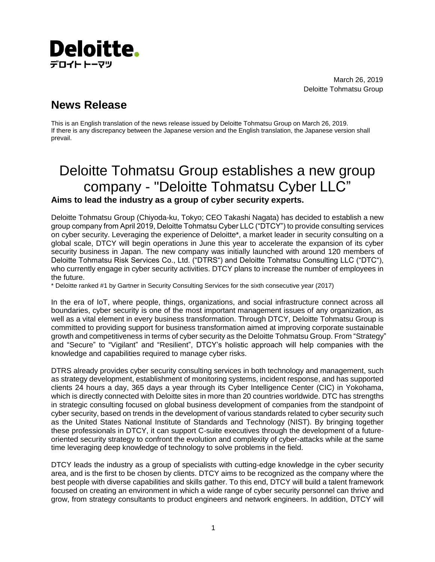

March 26, 2019 Deloitte Tohmatsu Group

## **News Release**

This is an English translation of the news release issued by Deloitte Tohmatsu Group on March 26, 2019. If there is any discrepancy between the Japanese version and the English translation, the Japanese version shall prevail.

## Deloitte Tohmatsu Group establishes a new group company - "Deloitte Tohmatsu Cyber LLC" **Aims to lead the industry as a group of cyber security experts.**

Deloitte Tohmatsu Group (Chiyoda-ku, Tokyo; CEO Takashi Nagata) has decided to establish a new group company from April 2019, Deloitte Tohmatsu Cyber LLC ("DTCY") to provide consulting services on cyber security. Leveraging the experience of Deloitte\*, a market leader in security consulting on a global scale, DTCY will begin operations in June this year to accelerate the expansion of its cyber security business in Japan. The new company was initially launched with around 120 members of Deloitte Tohmatsu Risk Services Co., Ltd. ("DTRS") and Deloitte Tohmatsu Consulting LLC ("DTC"), who currently engage in cyber security activities. DTCY plans to increase the number of employees in the future.

\* Deloitte ranked #1 by Gartner in Security Consulting Services for the sixth consecutive year (2017)

In the era of IoT, where people, things, organizations, and social infrastructure connect across all boundaries, cyber security is one of the most important management issues of any organization, as well as a vital element in every business transformation. Through DTCY, Deloitte Tohmatsu Group is committed to providing support for business transformation aimed at improving corporate sustainable growth and competitiveness in terms of cyber security as the Deloitte Tohmatsu Group. From "Strategy" and "Secure" to "Vigilant" and "Resilient", DTCY's holistic approach will help companies with the knowledge and capabilities required to manage cyber risks.

DTRS already provides cyber security consulting services in both technology and management, such as strategy development, establishment of monitoring systems, incident response, and has supported clients 24 hours a day, 365 days a year through its Cyber Intelligence Center (CIC) in Yokohama, which is directly connected with Deloitte sites in more than 20 countries worldwide. DTC has strengths in strategic consulting focused on global business development of companies from the standpoint of cyber security, based on trends in the development of various standards related to cyber security such as the United States National Institute of Standards and Technology (NIST). By bringing together these professionals in DTCY, it can support C-suite executives through the development of a futureoriented security strategy to confront the evolution and complexity of cyber-attacks while at the same time leveraging deep knowledge of technology to solve problems in the field.

DTCY leads the industry as a group of specialists with cutting-edge knowledge in the cyber security area, and is the first to be chosen by clients. DTCY aims to be recognized as the company where the best people with diverse capabilities and skills gather. To this end, DTCY will build a talent framework focused on creating an environment in which a wide range of cyber security personnel can thrive and grow, from strategy consultants to product engineers and network engineers. In addition, DTCY will